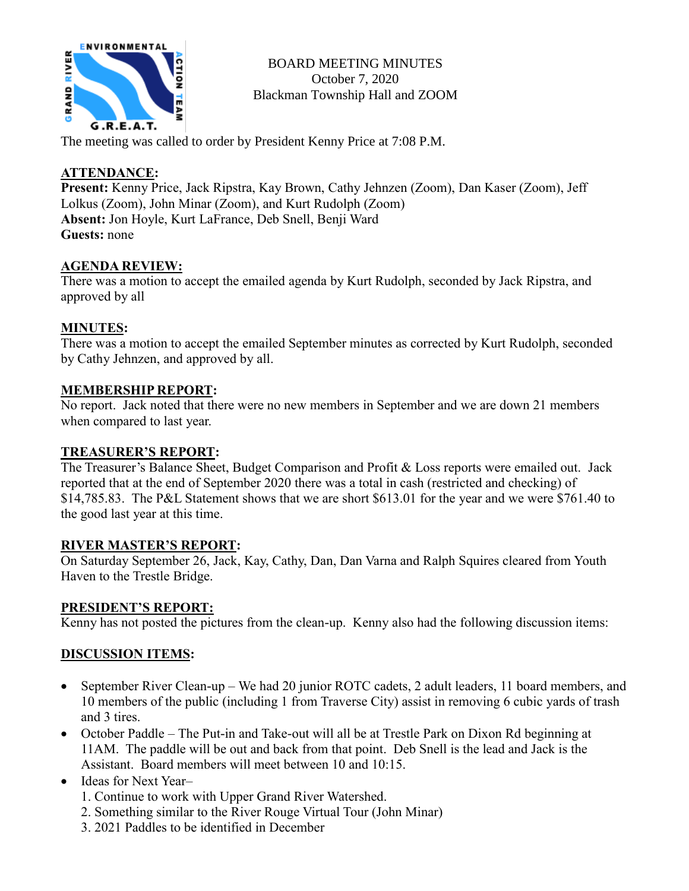

BOARD MEETING MINUTES October 7, 2020 Blackman Township Hall and ZOOM

The meeting was called to order by President Kenny Price at 7:08 P.M.

#### **ATTENDANCE:**

**Present:** Kenny Price, Jack Ripstra, Kay Brown, Cathy Jehnzen (Zoom), Dan Kaser (Zoom), Jeff Lolkus (Zoom), John Minar (Zoom), and Kurt Rudolph (Zoom) **Absent:** Jon Hoyle, Kurt LaFrance, Deb Snell, Benji Ward **Guests:** none

#### **AGENDA REVIEW:**

There was a motion to accept the emailed agenda by Kurt Rudolph, seconded by Jack Ripstra, and approved by all

#### **MINUTES:**

There was a motion to accept the emailed September minutes as corrected by Kurt Rudolph, seconded by Cathy Jehnzen, and approved by all.

#### **MEMBERSHIP REPORT:**

No report. Jack noted that there were no new members in September and we are down 21 members when compared to last year.

#### **TREASURER'S REPORT:**

The Treasurer's Balance Sheet, Budget Comparison and Profit & Loss reports were emailed out. Jack reported that at the end of September 2020 there was a total in cash (restricted and checking) of \$14,785.83. The P&L Statement shows that we are short \$613.01 for the year and we were \$761.40 to the good last year at this time.

#### **RIVER MASTER'S REPORT:**

On Saturday September 26, Jack, Kay, Cathy, Dan, Dan Varna and Ralph Squires cleared from Youth Haven to the Trestle Bridge.

#### **PRESIDENT'S REPORT:**

Kenny has not posted the pictures from the clean-up. Kenny also had the following discussion items:

# **DISCUSSION ITEMS:**

- September River Clean-up We had 20 junior ROTC cadets, 2 adult leaders, 11 board members, and 10 members of the public (including 1 from Traverse City) assist in removing 6 cubic yards of trash and 3 tires.
- October Paddle The Put-in and Take-out will all be at Trestle Park on Dixon Rd beginning at 11AM. The paddle will be out and back from that point. Deb Snell is the lead and Jack is the Assistant. Board members will meet between 10 and 10:15.
- Ideas for Next Year-
	- 1. Continue to work with Upper Grand River Watershed.
	- 2. Something similar to the River Rouge Virtual Tour (John Minar)
	- 3. 2021 Paddles to be identified in December